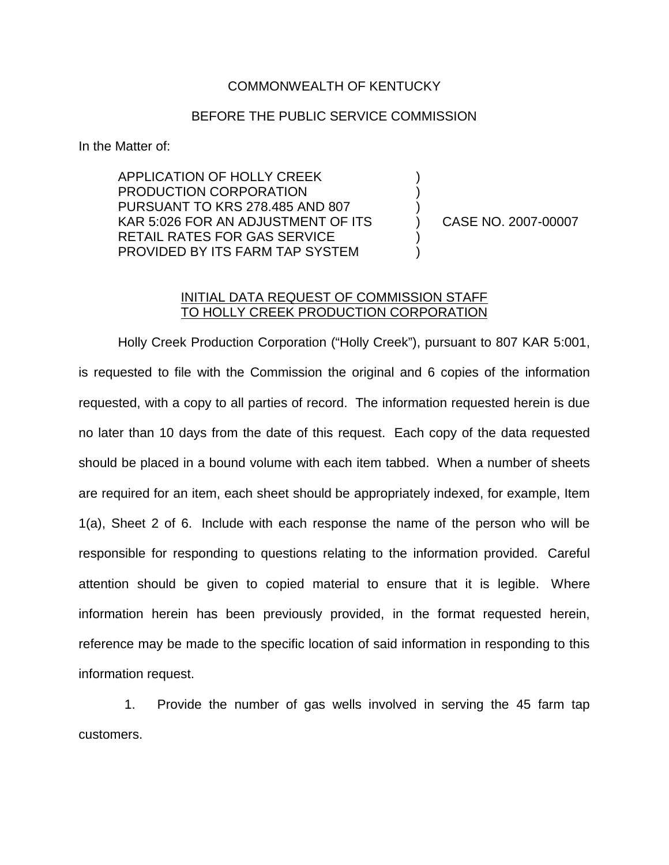## COMMONWEALTH OF KENTUCKY

## BEFORE THE PUBLIC SERVICE COMMISSION

) ) )

) )

In the Matter of:

APPLICATION OF HOLLY CREEK PRODUCTION CORPORATION PURSUANT TO KRS 278.485 AND 807 KAR 5:026 FOR AN ADJUSTMENT OF ITS RETAIL RATES FOR GAS SERVICE PROVIDED BY ITS FARM TAP SYSTEM

) CASE NO. 2007-00007

## INITIAL DATA REQUEST OF COMMISSION STAFF TO HOLLY CREEK PRODUCTION CORPORATION

Holly Creek Production Corporation ("Holly Creek"), pursuant to 807 KAR 5:001, is requested to file with the Commission the original and 6 copies of the information requested, with a copy to all parties of record. The information requested herein is due no later than 10 days from the date of this request. Each copy of the data requested should be placed in a bound volume with each item tabbed. When a number of sheets are required for an item, each sheet should be appropriately indexed, for example, Item 1(a), Sheet 2 of 6. Include with each response the name of the person who will be responsible for responding to questions relating to the information provided. Careful attention should be given to copied material to ensure that it is legible. Where information herein has been previously provided, in the format requested herein, reference may be made to the specific location of said information in responding to this information request.

1. Provide the number of gas wells involved in serving the 45 farm tap customers.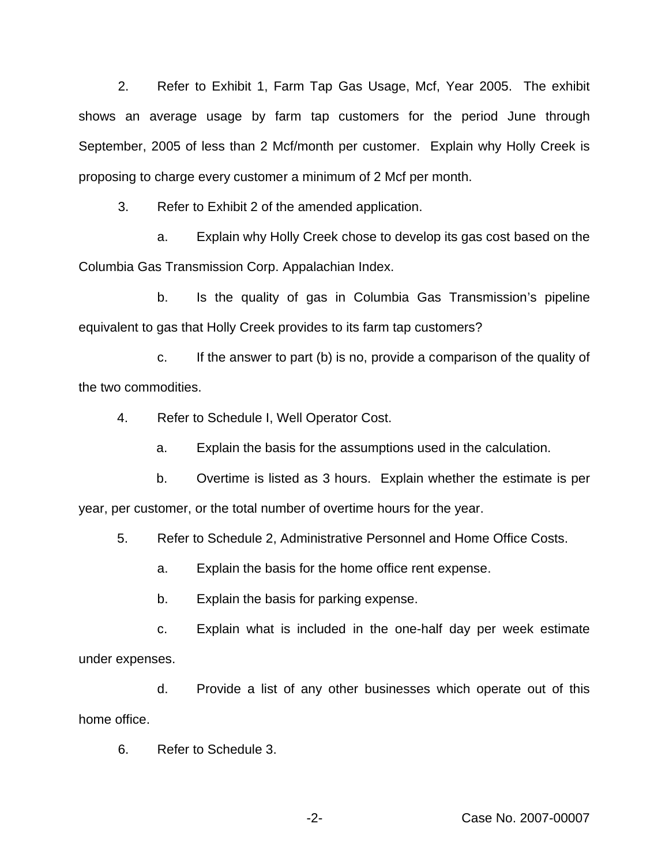2. Refer to Exhibit 1, Farm Tap Gas Usage, Mcf, Year 2005. The exhibit shows an average usage by farm tap customers for the period June through September, 2005 of less than 2 Mcf/month per customer. Explain why Holly Creek is proposing to charge every customer a minimum of 2 Mcf per month.

3. Refer to Exhibit 2 of the amended application.

a. Explain why Holly Creek chose to develop its gas cost based on the Columbia Gas Transmission Corp. Appalachian Index.

b. Is the quality of gas in Columbia Gas Transmission's pipeline equivalent to gas that Holly Creek provides to its farm tap customers?

c. If the answer to part (b) is no, provide a comparison of the quality of the two commodities.

4. Refer to Schedule I, Well Operator Cost.

a. Explain the basis for the assumptions used in the calculation.

b. Overtime is listed as 3 hours. Explain whether the estimate is per year, per customer, or the total number of overtime hours for the year.

5. Refer to Schedule 2, Administrative Personnel and Home Office Costs.

a. Explain the basis for the home office rent expense.

b. Explain the basis for parking expense.

c. Explain what is included in the one-half day per week estimate under expenses.

d. Provide a list of any other businesses which operate out of this home office.

6. Refer to Schedule 3.

-2- Case No. 2007-00007